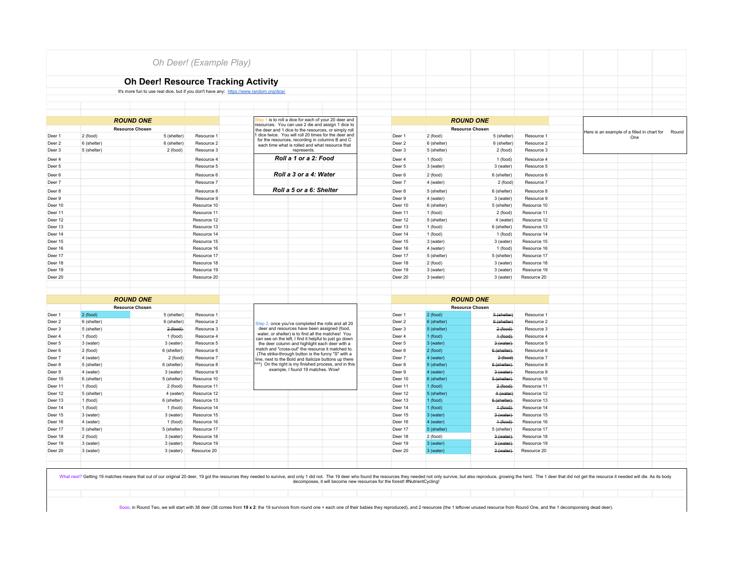|                        |                       |                                                                                         | Oh Deer! (Example Play)                              |                                                                                                     |                                                       |                             |                          |                          |                          |                                                             |  |  |  |
|------------------------|-----------------------|-----------------------------------------------------------------------------------------|------------------------------------------------------|-----------------------------------------------------------------------------------------------------|-------------------------------------------------------|-----------------------------|--------------------------|--------------------------|--------------------------|-------------------------------------------------------------|--|--|--|
|                        |                       |                                                                                         |                                                      |                                                                                                     |                                                       |                             |                          |                          |                          |                                                             |  |  |  |
|                        |                       | <b>Oh Deer! Resource Tracking Activity</b>                                              |                                                      |                                                                                                     |                                                       |                             |                          |                          |                          |                                                             |  |  |  |
|                        |                       | It's more fun to use real dice, but if you don't have any: https://www.random.org/dice/ |                                                      |                                                                                                     |                                                       |                             |                          |                          |                          |                                                             |  |  |  |
|                        |                       |                                                                                         |                                                      |                                                                                                     |                                                       |                             |                          |                          |                          |                                                             |  |  |  |
|                        |                       |                                                                                         |                                                      |                                                                                                     |                                                       |                             |                          |                          |                          |                                                             |  |  |  |
|                        |                       |                                                                                         |                                                      |                                                                                                     |                                                       |                             |                          |                          |                          |                                                             |  |  |  |
|                        |                       | <b>ROUND ONE</b>                                                                        |                                                      |                                                                                                     | Step 1 is to roll a dice for each of your 20 deer and |                             |                          | <b>ROUND ONE</b>         |                          |                                                             |  |  |  |
| <b>Resource Chosen</b> |                       |                                                                                         | the deer and 1 dice to the resources, or simply roll | resources. You can use 2 die and assign 1 dice to                                                   |                                                       |                             | <b>Resource Chosen</b>   |                          |                          |                                                             |  |  |  |
| Deer 1                 | 2 (food)              | 5 (shelter)                                                                             | Resource 1                                           |                                                                                                     | 1 dice twice. You will roll 20 times for the deer and | Deer 1                      | 2 (food)                 | 5 (shelter)              | Resource 1               | Here is an example of a filled in chart for<br>Round<br>One |  |  |  |
| Deer <sub>2</sub>      | 6 (shelter)           | 6 (shelter)                                                                             | Resource 2                                           | for the resources, recording in columns B and C<br>each time what is rolled and what resource that  |                                                       |                             | 6 (shelter)              | 6 (shelter)              | Resource 2               |                                                             |  |  |  |
| Deer 3                 | 5 (shelter)           | 2 (food)                                                                                | Resource 3                                           | represents.                                                                                         |                                                       |                             | 5 (shelter)              | 2 (food)                 | Resource 3               |                                                             |  |  |  |
| Deer 4                 |                       |                                                                                         | Resource 4                                           | Roll a 1 or a 2: Food                                                                               |                                                       | Deer 4                      | 1 (food)                 | 1 (food)                 | Resource 4               |                                                             |  |  |  |
| Deer 5                 |                       |                                                                                         | Resource 5                                           |                                                                                                     |                                                       | Deer 5                      | 3 (water)                | 3 (water)                | Resource 5               |                                                             |  |  |  |
| Deer 6                 |                       |                                                                                         | Resource 6                                           | Roll a 3 or a 4: Water                                                                              |                                                       | Deer 6                      | 2 (food)                 | 6 (shelter)              | Resource 6               |                                                             |  |  |  |
| Deer 7                 |                       |                                                                                         | Resource 7                                           |                                                                                                     |                                                       | Deer 7                      | 4 (water)                | 2 (food)                 | Resource 7               |                                                             |  |  |  |
|                        |                       |                                                                                         | Resource 8                                           | Roll a 5 or a 6: Shelter                                                                            |                                                       |                             |                          |                          | Resource 8               |                                                             |  |  |  |
| Deer 8<br>Deer 9       |                       |                                                                                         | Resource 9                                           |                                                                                                     |                                                       | Deer 8<br>Deer 9            | 5 (shelter)              | 6 (shelter)<br>3 (water) | Resource 9               |                                                             |  |  |  |
| Deer 10                |                       |                                                                                         | Resource 10                                          |                                                                                                     |                                                       | Deer 10                     | 4 (water)<br>6 (shelter) | 5 (shelter)              | Resource 10              |                                                             |  |  |  |
| Deer 11                |                       |                                                                                         | Resource 11                                          |                                                                                                     |                                                       | Deer 11                     | 1 (food)                 | 2 (food)                 | Resource 11              |                                                             |  |  |  |
| Deer 12                |                       |                                                                                         | Resource 12                                          |                                                                                                     |                                                       | Deer 12                     | 5 (shelter)              | 4 (water)                | Resource 12              |                                                             |  |  |  |
| Deer 13                |                       |                                                                                         | Resource 13                                          |                                                                                                     |                                                       | Deer 13                     | 1 (food)                 | 6 (shelter)              | Resource 13              |                                                             |  |  |  |
| Deer 14                |                       |                                                                                         | Resource 14                                          |                                                                                                     |                                                       | Deer 14                     | 1 (food)                 | 1 (food)                 | Resource 14              |                                                             |  |  |  |
| Deer 15                |                       |                                                                                         | Resource 15                                          |                                                                                                     |                                                       | Deer 15                     | 3 (water)                | 3 (water)                | Resource 15              |                                                             |  |  |  |
| Deer 16                |                       |                                                                                         | Resource 16                                          |                                                                                                     |                                                       | Deer 16                     | 4 (water)                | 1 (food)                 | Resource 16              |                                                             |  |  |  |
| Deer 17                |                       |                                                                                         | Resource 17                                          |                                                                                                     |                                                       | Deer 17                     | 5 (shelter)              | 5 (shelter)              | Resource 17              |                                                             |  |  |  |
| Deer 18                |                       |                                                                                         | Resource 18                                          |                                                                                                     |                                                       | Deer 18                     | 2 (food)                 | 3 (water)                | Resource 18              |                                                             |  |  |  |
| Deer 19                |                       |                                                                                         | Resource 19                                          |                                                                                                     |                                                       | Deer 19                     | 3 (water)                | 3 (water)                | Resource 19              |                                                             |  |  |  |
| Deer 20                |                       |                                                                                         | Resource 20                                          |                                                                                                     |                                                       | Deer 20                     | 3 (water)                | 3 (water)                | Resource 20              |                                                             |  |  |  |
|                        |                       |                                                                                         |                                                      |                                                                                                     |                                                       |                             |                          |                          |                          |                                                             |  |  |  |
|                        |                       |                                                                                         |                                                      |                                                                                                     |                                                       |                             |                          |                          |                          |                                                             |  |  |  |
|                        |                       | <b>ROUND ONE</b>                                                                        |                                                      |                                                                                                     |                                                       |                             |                          | <b>ROUND ONE</b>         |                          |                                                             |  |  |  |
|                        |                       | <b>Resource Chosen</b>                                                                  |                                                      |                                                                                                     |                                                       |                             |                          | <b>Resource Chosen</b>   |                          |                                                             |  |  |  |
| Deer 1                 | 2 (food)              | 5 (shelter)                                                                             | Resource 1                                           |                                                                                                     |                                                       | Deer 1                      | 2 (food)                 | <b>6</b> (shelter)       | Resource 1               |                                                             |  |  |  |
| Deer <sub>2</sub>      | 6 (shelter)           | 6 (shelter)                                                                             | Resource 2                                           | Step 2, once you've completed the rolls and all 20                                                  |                                                       | Deer 2                      | 6 (shelter)              | 6 (shelter)              | Resource 2               |                                                             |  |  |  |
| Deer 3                 | 5 (shelter)           | 2(food)                                                                                 | Resource 3                                           | deer and resources have been assigned (food,<br>water, or shelter) is to find all the matches! You  |                                                       | Deer 3                      | 5 (shelter)              | 2(food)                  | Resource 3               |                                                             |  |  |  |
| Deer 4                 | 1 (food)              | 1 (food)                                                                                | Resource 4                                           | can see on the left, I find it helpful to just go down                                              |                                                       | Deer 4                      | 1(food)                  | $4$ (food)               | Resource 4               |                                                             |  |  |  |
| Deer 5                 | 3 (water)             | 3 (water)                                                                               | Resource 5                                           | the deer column and highlight each deer with a<br>match and "cross-out" the resource it matched to. |                                                       | Deer 5                      | 3 (water)                | 3 (water)<br>6 (shelter) | Resource 5               |                                                             |  |  |  |
| Deer <sub>6</sub>      | 2 (food)<br>4 (water) | 6 (shelter)<br>2 (food)                                                                 | Resource 6<br>Resource 7                             | (The strike-through button is the funny "S" with a                                                  |                                                       | Deer 6<br>Deer <sub>7</sub> | 2(food)<br>4 (water)     | 2 (food)                 | Resource 6<br>Resource 7 |                                                             |  |  |  |
| Deer 7                 | 5 (shelter)           | 6 (shelter)                                                                             | Resource 8                                           | line, next to the Bold and Italicize buttons up there                                               | ^^^) On the right is my finished process, and in this | Deer 8                      | 5 (shelter)              | 6 (shelter)              | Resource 8               |                                                             |  |  |  |
| Deer 8<br>Deer 9       | 4 (water)             | 3 (water)                                                                               | Resource 9                                           | example, I found 19 matches. Wow!                                                                   |                                                       | Deer 9                      | 4 (water)                | 3 (water)                | Resource 9               |                                                             |  |  |  |
| Deer 10                | 6 (shelter)           | 5 (shelter)                                                                             | Resource 10                                          |                                                                                                     |                                                       | Deer 10                     | 6 (shelter)              | 5 (shelter)              | Resource 10              |                                                             |  |  |  |
| Deer 11                | 1 (food)              | 2 (food)                                                                                | Resource 11                                          |                                                                                                     |                                                       | Deer 11                     | 1 (food)                 | 2(food)                  | Resource 11              |                                                             |  |  |  |
| Deer 12                | 5 (shelter)           | 4 (water)                                                                               | Resource 12                                          |                                                                                                     |                                                       | Deer 12                     | 5 (shelter)              | 4 (water)                | Resource 12              |                                                             |  |  |  |
| Deer 13                | 1 (food)              | 6 (shelter)                                                                             | Resource 13                                          |                                                                                                     |                                                       | Deer 13                     | 1(food)                  | 6 (shelter)              | Resource 13              |                                                             |  |  |  |
| Deer 14                | 1 (food)              | 1 (food)                                                                                | Resource 14                                          |                                                                                                     |                                                       | Deer 14                     | I (food)                 | $+(food)$                | Resource 14              |                                                             |  |  |  |
| Deer 15                | 3 (water)             | 3 (water)                                                                               | Resource 15                                          |                                                                                                     |                                                       | Deer 15                     | 3 (water)                | 3 (water)                | Resource 15              |                                                             |  |  |  |
| Deer 16                | 4 (water)             | 1 (food)                                                                                | Resource 16                                          |                                                                                                     |                                                       | Deer 16                     | 4 (water)                | $4$ (food)               | Resource 16              |                                                             |  |  |  |
| Deer 17                | 5 (shelter)           | 5 (shelter)                                                                             | Resource 17                                          |                                                                                                     |                                                       | Deer 17                     | 5 (shelter)              | 5 (shelter)              | Resource 17              |                                                             |  |  |  |
| Deer 18                | 2 (food)              | 3 (water)                                                                               | Resource 18                                          |                                                                                                     |                                                       | Deer 18                     | 2 (food)                 | 3 (water)                | Resource 18              |                                                             |  |  |  |
| Deer 19                | 3 (water)             | 3 (water)                                                                               | Resource 19                                          |                                                                                                     |                                                       | Deer 19                     | 3 (water)                | 3 (water)                | Resource 19              |                                                             |  |  |  |
| Deer 20                | 3 (water)             | 3 (water)                                                                               | Resource 20                                          |                                                                                                     |                                                       | Deer 20                     | 3 (water)                | 3 (water)                | Resource 20              |                                                             |  |  |  |
|                        |                       |                                                                                         |                                                      |                                                                                                     |                                                       |                             |                          |                          |                          |                                                             |  |  |  |

What next? Getting 19 matches means that out of our original 20 deer, 19 got the resources they needed to survive, and only 11 die decomposes, it will becomposes, it will become new resources for the forest! #NutrientCycli

Sooo, in Round Two, we will start with 38 deer (38 comes from 19 x 2: the 19 survivors from round one + each one of their babies they reproduced), and 2 resources (the 1 leftover unused resource from Round One, and the 1 d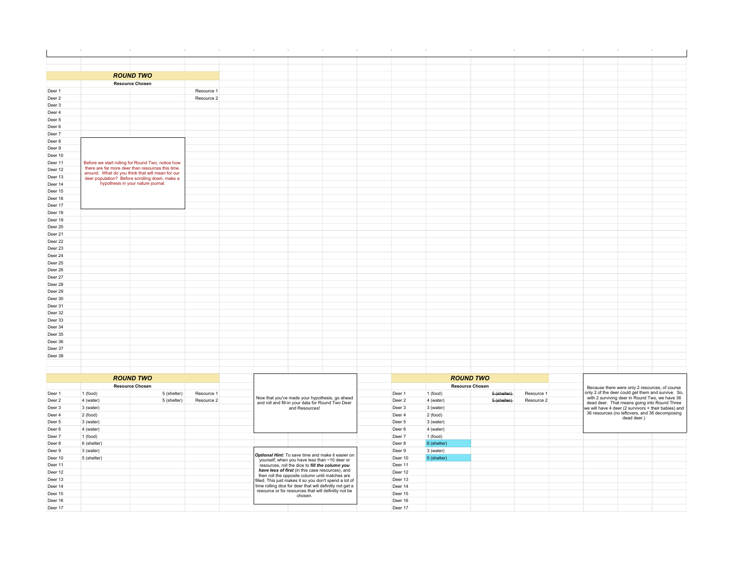|                    | <b>ROUND TWO</b>                                                                                      |            |                                                                                                     |                   |           |                        |            |                                                                                                      |  |
|--------------------|-------------------------------------------------------------------------------------------------------|------------|-----------------------------------------------------------------------------------------------------|-------------------|-----------|------------------------|------------|------------------------------------------------------------------------------------------------------|--|
|                    | <b>Resource Chosen</b>                                                                                |            |                                                                                                     |                   |           |                        |            |                                                                                                      |  |
| Deer 1             |                                                                                                       | Resource 1 |                                                                                                     |                   |           |                        |            |                                                                                                      |  |
| Deer 2             |                                                                                                       | Resource 2 |                                                                                                     |                   |           |                        |            |                                                                                                      |  |
| Deer 3             |                                                                                                       |            |                                                                                                     |                   |           |                        |            |                                                                                                      |  |
| Deer 4             |                                                                                                       |            |                                                                                                     |                   |           |                        |            |                                                                                                      |  |
| Deer 5             |                                                                                                       |            |                                                                                                     |                   |           |                        |            |                                                                                                      |  |
| Deer 6             |                                                                                                       |            |                                                                                                     |                   |           |                        |            |                                                                                                      |  |
| Deer 7             |                                                                                                       |            |                                                                                                     |                   |           |                        |            |                                                                                                      |  |
| Deer 8             |                                                                                                       |            |                                                                                                     |                   |           |                        |            |                                                                                                      |  |
| Deer 9             |                                                                                                       |            |                                                                                                     |                   |           |                        |            |                                                                                                      |  |
| Deer 10            |                                                                                                       |            |                                                                                                     |                   |           |                        |            |                                                                                                      |  |
| Deer 11            | Before we start rolling for Round Two, notice how<br>there are far more deer than resources this time |            |                                                                                                     |                   |           |                        |            |                                                                                                      |  |
| Deer 12            | around. What do you think that will mean for our                                                      |            |                                                                                                     |                   |           |                        |            |                                                                                                      |  |
| Deer 13            | deer population? Before scrolling down, make a<br>hypothesis in your nature journal.                  |            |                                                                                                     |                   |           |                        |            |                                                                                                      |  |
| Deer 14            |                                                                                                       |            |                                                                                                     |                   |           |                        |            |                                                                                                      |  |
| Deer 15<br>Deer 16 |                                                                                                       |            |                                                                                                     |                   |           |                        |            |                                                                                                      |  |
| Deer 17            |                                                                                                       |            |                                                                                                     |                   |           |                        |            |                                                                                                      |  |
| Deer 18            |                                                                                                       |            |                                                                                                     |                   |           |                        |            |                                                                                                      |  |
| Deer 19            |                                                                                                       |            |                                                                                                     |                   |           |                        |            |                                                                                                      |  |
| Deer 20            |                                                                                                       |            |                                                                                                     |                   |           |                        |            |                                                                                                      |  |
| Deer 21            |                                                                                                       |            |                                                                                                     |                   |           |                        |            |                                                                                                      |  |
| Deer 22            |                                                                                                       |            |                                                                                                     |                   |           |                        |            |                                                                                                      |  |
| Deer 23            |                                                                                                       |            |                                                                                                     |                   |           |                        |            |                                                                                                      |  |
| Deer 24            |                                                                                                       |            |                                                                                                     |                   |           |                        |            |                                                                                                      |  |
| Deer 25            |                                                                                                       |            |                                                                                                     |                   |           |                        |            |                                                                                                      |  |
| Deer 26            |                                                                                                       |            |                                                                                                     |                   |           |                        |            |                                                                                                      |  |
| Deer 27            |                                                                                                       |            |                                                                                                     |                   |           |                        |            |                                                                                                      |  |
| Deer 28            |                                                                                                       |            |                                                                                                     |                   |           |                        |            |                                                                                                      |  |
| Deer 29            |                                                                                                       |            |                                                                                                     |                   |           |                        |            |                                                                                                      |  |
| Deer 30            |                                                                                                       |            |                                                                                                     |                   |           |                        |            |                                                                                                      |  |
| Deer 31            |                                                                                                       |            |                                                                                                     |                   |           |                        |            |                                                                                                      |  |
| Deer 32            |                                                                                                       |            |                                                                                                     |                   |           |                        |            |                                                                                                      |  |
| Deer 33            |                                                                                                       |            |                                                                                                     |                   |           |                        |            |                                                                                                      |  |
| Deer 34            |                                                                                                       |            |                                                                                                     |                   |           |                        |            |                                                                                                      |  |
| Deer 35            |                                                                                                       |            |                                                                                                     |                   |           |                        |            |                                                                                                      |  |
| Deer 36            |                                                                                                       |            |                                                                                                     |                   |           |                        |            |                                                                                                      |  |
| Deer 37            |                                                                                                       |            |                                                                                                     |                   |           |                        |            |                                                                                                      |  |
| Deer 38            |                                                                                                       |            |                                                                                                     |                   |           |                        |            |                                                                                                      |  |
|                    |                                                                                                       |            |                                                                                                     |                   |           |                        |            |                                                                                                      |  |
|                    |                                                                                                       |            |                                                                                                     |                   |           |                        |            |                                                                                                      |  |
|                    | <b>ROUND TWO</b>                                                                                      |            |                                                                                                     |                   |           | <b>ROUND TWO</b>       |            |                                                                                                      |  |
|                    | <b>Resource Chosen</b>                                                                                |            |                                                                                                     |                   |           | <b>Resource Chosen</b> |            |                                                                                                      |  |
| Deer 1             | 1 (food)<br>5 (shelter)                                                                               | Resource 1 |                                                                                                     | Deer 1            | 1 (food)  | 5 (shelter)            | Resource 1 | Because there were only 2 resources, of course<br>only 2 of the deer could get them and survive. So, |  |
| Deer 2             | 5 (shelter)<br>4 (water)                                                                              | Resource 2 | Now that you've made your hypothesis, go ahead<br>and roll and fill-in your data for Round Two Deer | Deer <sub>2</sub> | 4 (water) | 5 (shelter)            | Resource 2 | with 2 surviving deer in Round Two, we have 36<br>dead deer. That means going into Round Three       |  |
| Deer 3             | 3 (water)                                                                                             |            | and Resources!                                                                                      | Deer 3            | 3 (water) |                        |            | we will have 4 deer (2 survivors + their babies) and                                                 |  |
| Deer 4             | 2 (food)                                                                                              |            |                                                                                                     | Deer 4            | 2 (food)  |                        |            | 36 resources (no leftovers, and 36 decomposing<br>dead deer.)                                        |  |
|                    |                                                                                                       |            |                                                                                                     |                   |           |                        |            |                                                                                                      |  |

| Deer 4  | 2 (food)    |                                                                                                           | Deer 4  | 2 (food)    |  |  | 36 resources (no leftovers, and 36 decomposing<br>dead deer.) |  |
|---------|-------------|-----------------------------------------------------------------------------------------------------------|---------|-------------|--|--|---------------------------------------------------------------|--|
| Deer 5  | 3 (water)   |                                                                                                           | Deer 5  | 3 (water)   |  |  |                                                               |  |
| Deer 6  | 4 (water)   |                                                                                                           | Deer 6  | 4 (water)   |  |  |                                                               |  |
| Deer 7  | 1 (food)    |                                                                                                           | Deer 7  | 1 (food)    |  |  |                                                               |  |
| Deer 8  | 6 (shelter) |                                                                                                           | Deer 8  | 6 (shelter) |  |  |                                                               |  |
| Deer 9  | 3 (water)   |                                                                                                           | Deer 9  | 3 (water)   |  |  |                                                               |  |
| Deer 10 | 5 (shelter) | <b>Optional Hint:</b> To save time and make it easier on<br>yourself, when you have less than ~10 deer or | Deer 10 | 5 (shelter) |  |  |                                                               |  |
| Deer 11 |             | resources, roll the dice to fill the column you                                                           | Deer 11 |             |  |  |                                                               |  |
| Deer 12 |             | have less of first (in this case resources), and<br>then roll the opposite column until matches are       | Deer 12 |             |  |  |                                                               |  |
| Deer 13 |             | filled. This just makes it so you don't spend a lot of                                                    | Deer 13 |             |  |  |                                                               |  |
| Deer 14 |             | time rolling dice for deer that will definitly not get a                                                  | Deer 14 |             |  |  |                                                               |  |
| Deer 15 |             | resource or for resources that will definitly not be<br>chosen.                                           | Deer 15 |             |  |  |                                                               |  |
| Deer 16 |             |                                                                                                           | Deer 16 |             |  |  |                                                               |  |
| Deer 17 |             |                                                                                                           | Deer 17 |             |  |  |                                                               |  |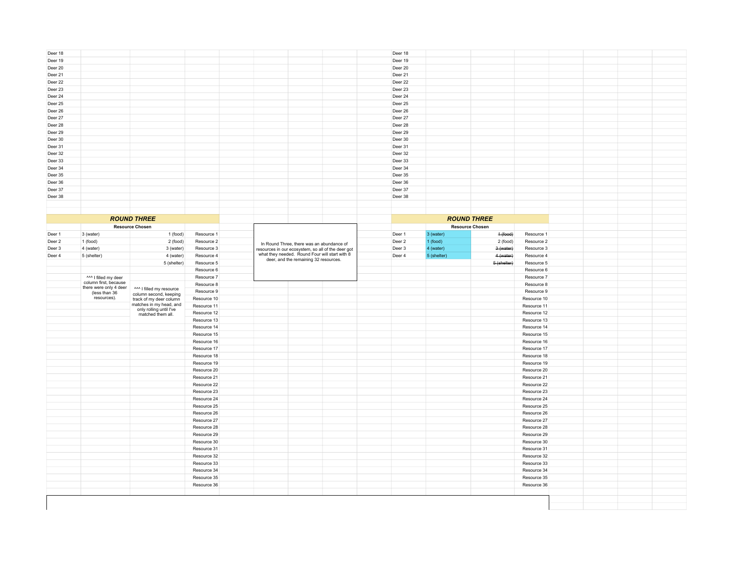| Deer 18            |                              |                                                   |             |                                           |                                                    | Deer 18            |                        |             |                         |  |  |
|--------------------|------------------------------|---------------------------------------------------|-------------|-------------------------------------------|----------------------------------------------------|--------------------|------------------------|-------------|-------------------------|--|--|
| Deer 19            |                              |                                                   |             |                                           |                                                    | Deer 19            |                        |             |                         |  |  |
| Deer 20            |                              |                                                   |             |                                           |                                                    | Deer 20            |                        |             |                         |  |  |
| Deer 21            |                              |                                                   |             |                                           |                                                    | Deer 21            |                        |             |                         |  |  |
| Deer 22            |                              |                                                   |             |                                           |                                                    | Deer 22            |                        |             |                         |  |  |
| Deer 23            |                              |                                                   |             |                                           |                                                    | Deer 23            |                        |             |                         |  |  |
| Deer 24            |                              |                                                   |             |                                           |                                                    | Deer 24            |                        |             |                         |  |  |
| Deer 25            |                              |                                                   |             |                                           |                                                    | Deer 25            |                        |             |                         |  |  |
| Deer 26            |                              |                                                   |             |                                           |                                                    | Deer 26            |                        |             |                         |  |  |
| Deer 27            |                              |                                                   |             |                                           |                                                    | Deer 27            |                        |             |                         |  |  |
| Deer 28            |                              |                                                   |             |                                           |                                                    | Deer 28            |                        |             |                         |  |  |
| Deer 29            |                              |                                                   |             |                                           |                                                    | Deer 29            |                        |             |                         |  |  |
| Deer 30            |                              |                                                   |             |                                           |                                                    | Deer 30            |                        |             |                         |  |  |
| Deer 31            |                              |                                                   |             |                                           |                                                    | Deer 31            |                        |             |                         |  |  |
|                    |                              |                                                   |             |                                           |                                                    |                    |                        |             |                         |  |  |
| Deer 32<br>Deer 33 |                              |                                                   |             |                                           |                                                    | Deer 32<br>Deer 33 |                        |             |                         |  |  |
|                    |                              |                                                   |             |                                           |                                                    |                    |                        |             |                         |  |  |
| Deer 34            |                              |                                                   |             |                                           |                                                    | Deer 34            |                        |             |                         |  |  |
| Deer 35            |                              |                                                   |             |                                           |                                                    | Deer 35            |                        |             |                         |  |  |
| Deer 36            |                              |                                                   |             |                                           |                                                    | Deer 36            |                        |             |                         |  |  |
| Deer 37            |                              |                                                   |             |                                           |                                                    | Deer 37            |                        |             |                         |  |  |
| Deer 38            |                              |                                                   |             |                                           |                                                    | Deer 38            |                        |             |                         |  |  |
|                    |                              |                                                   |             |                                           |                                                    |                    |                        |             |                         |  |  |
|                    |                              |                                                   |             |                                           |                                                    |                    |                        |             |                         |  |  |
|                    |                              | <b>ROUND THREE</b>                                |             |                                           |                                                    |                    | <b>ROUND THREE</b>     |             |                         |  |  |
|                    |                              | <b>Resource Chosen</b>                            |             |                                           |                                                    |                    | <b>Resource Chosen</b> |             |                         |  |  |
| Deer 1             | 3 (water)                    | 1 (food)                                          | Resource 1  |                                           |                                                    | Deer 1             | 3 (water)              | $4-(food)$  | Resource 1              |  |  |
| Deer 2             | 1 (food)                     | 2 (food)                                          | Resource 2  | In Round Three, there was an abundance of |                                                    | Deer 2             | 1 (food)               | 2 (food)    | Resource 2              |  |  |
| Deer 3             | 4 (water)                    | 3 (water)                                         | Resource 3  |                                           | resources in our ecosystem, so all of the deer got | Deer 3             | 4 (water)              | 3 (water)   | Resource 3              |  |  |
| Deer 4             | 5 (shelter)                  | 4 (water)                                         | Resource 4  |                                           | what they needed. Round Four will start with 8     | Deer 4             | 5 (shelter)            |             | 4 (water)<br>Resource 4 |  |  |
|                    |                              | 5 (shelter)                                       | Resource 5  | deer, and the remaining 32 resources.     |                                                    |                    |                        | 5 (shelter) | Resource 5              |  |  |
|                    |                              |                                                   | Resource 6  |                                           |                                                    |                    |                        |             | Resource 6              |  |  |
|                    | ^^^ I filled my deer         |                                                   | Resource 7  |                                           |                                                    |                    |                        |             | Resource 7              |  |  |
|                    | column first, because        |                                                   | Resource 8  |                                           |                                                    |                    |                        |             | Resource 8              |  |  |
|                    | there were only 4 deer       | ^^^ I filled my resource                          | Resource 9  |                                           |                                                    |                    |                        |             | Resource 9              |  |  |
|                    | (less than 36<br>resources). | column second, keeping<br>track of my deer column | Resource 10 |                                           |                                                    |                    |                        |             | Resource 10             |  |  |
|                    |                              | matches in my head, and                           | Resource 11 |                                           |                                                    |                    |                        |             | Resource 11             |  |  |
|                    |                              | only rolling until I've                           | Resource 12 |                                           |                                                    |                    |                        |             | Resource 12             |  |  |
|                    |                              | matched them all.                                 | Resource 13 |                                           |                                                    |                    |                        |             | Resource 13             |  |  |
|                    |                              |                                                   | Resource 14 |                                           |                                                    |                    |                        |             | Resource 14             |  |  |
|                    |                              |                                                   | Resource 15 |                                           |                                                    |                    |                        |             | Resource 15             |  |  |
|                    |                              |                                                   |             |                                           |                                                    |                    |                        |             |                         |  |  |
|                    |                              |                                                   | Resource 16 |                                           |                                                    |                    |                        |             | Resource 16             |  |  |
|                    |                              |                                                   | Resource 17 |                                           |                                                    |                    |                        |             | Resource 17             |  |  |
|                    |                              |                                                   | Resource 18 |                                           |                                                    |                    |                        |             | Resource 18             |  |  |
|                    |                              |                                                   | Resource 19 |                                           |                                                    |                    |                        |             | Resource 19             |  |  |
|                    |                              |                                                   | Resource 20 |                                           |                                                    |                    |                        |             | Resource 20             |  |  |
|                    |                              |                                                   | Resource 21 |                                           |                                                    |                    |                        |             | Resource 21             |  |  |
|                    |                              |                                                   | Resource 22 |                                           |                                                    |                    |                        |             | Resource 22             |  |  |
|                    |                              |                                                   | Resource 23 |                                           |                                                    |                    |                        |             | Resource 23             |  |  |
|                    |                              |                                                   | Resource 24 |                                           |                                                    |                    |                        |             | Resource 24             |  |  |
|                    |                              |                                                   | Resource 25 |                                           |                                                    |                    |                        |             | Resource 25             |  |  |
|                    |                              |                                                   | Resource 26 |                                           |                                                    |                    |                        |             | Resource 26             |  |  |
|                    |                              |                                                   | Resource 27 |                                           |                                                    |                    |                        |             | Resource 27             |  |  |
|                    |                              |                                                   | Resource 28 |                                           |                                                    |                    |                        |             | Resource 28             |  |  |
|                    |                              |                                                   | Resource 29 |                                           |                                                    |                    |                        |             | Resource 29             |  |  |
|                    |                              |                                                   | Resource 30 |                                           |                                                    |                    |                        |             | Resource 30             |  |  |
|                    |                              |                                                   | Resource 31 |                                           |                                                    |                    |                        |             | Resource 31             |  |  |
|                    |                              |                                                   | Resource 32 |                                           |                                                    |                    |                        |             | Resource 32             |  |  |
|                    |                              |                                                   | Resource 33 |                                           |                                                    |                    |                        |             | Resource 33             |  |  |
|                    |                              |                                                   | Resource 34 |                                           |                                                    |                    |                        |             | Resource 34             |  |  |
|                    |                              |                                                   | Resource 35 |                                           |                                                    |                    |                        |             | Resource 35             |  |  |
|                    |                              |                                                   | Resource 36 |                                           |                                                    |                    |                        |             | Resource 36             |  |  |
|                    |                              |                                                   |             |                                           |                                                    |                    |                        |             |                         |  |  |
|                    |                              |                                                   |             |                                           |                                                    |                    |                        |             |                         |  |  |
|                    |                              |                                                   |             |                                           |                                                    |                    |                        |             |                         |  |  |
|                    |                              |                                                   |             |                                           |                                                    |                    |                        |             |                         |  |  |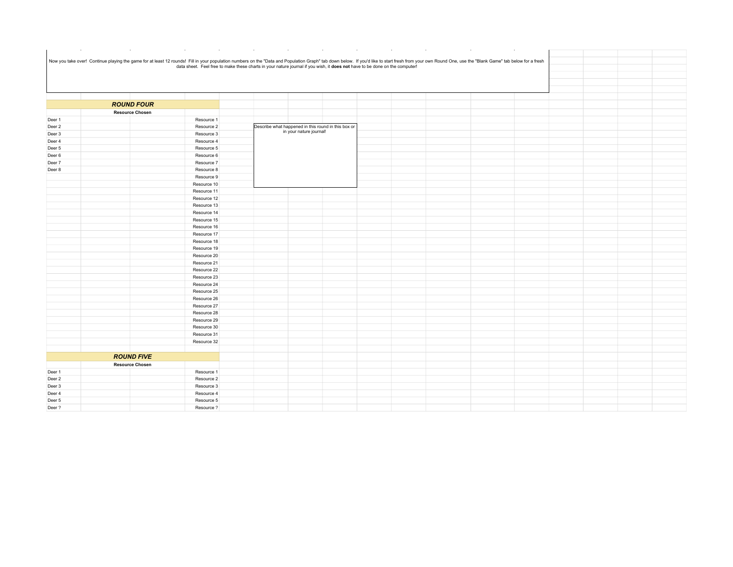|        | $\sim 10^{-1}$         | <b>Contract</b> | the contract of the contract of the contract of the contract of the contract of the contract of the contract of                                                                                                                |  | $\sim 40^{\circ}$<br>$\sim$ |  |  |
|--------|------------------------|-----------------|--------------------------------------------------------------------------------------------------------------------------------------------------------------------------------------------------------------------------------|--|-----------------------------|--|--|
|        |                        |                 |                                                                                                                                                                                                                                |  |                             |  |  |
|        |                        |                 |                                                                                                                                                                                                                                |  |                             |  |  |
|        |                        |                 | Now you take over! Continue playing the game for at least 12 rounds! Fill in your population numbers on the "Data and Population Graph" tab down below. If you'd like to start fresh from your own Round One, use the "Blank G |  |                             |  |  |
|        |                        |                 |                                                                                                                                                                                                                                |  |                             |  |  |
|        |                        |                 |                                                                                                                                                                                                                                |  |                             |  |  |
|        |                        |                 |                                                                                                                                                                                                                                |  |                             |  |  |
|        |                        |                 |                                                                                                                                                                                                                                |  |                             |  |  |
|        | <b>ROUND FOUR</b>      |                 |                                                                                                                                                                                                                                |  |                             |  |  |
|        | <b>Resource Chosen</b> |                 |                                                                                                                                                                                                                                |  |                             |  |  |
| Deer 1 |                        | Resource 1      |                                                                                                                                                                                                                                |  |                             |  |  |
| Deer 2 |                        | Resource 2      | Describe what happened in this round in this box or                                                                                                                                                                            |  |                             |  |  |
| Deer 3 |                        | Resource 3      | in your nature journal!                                                                                                                                                                                                        |  |                             |  |  |
| Deer 4 |                        | Resource 4      |                                                                                                                                                                                                                                |  |                             |  |  |
|        |                        |                 |                                                                                                                                                                                                                                |  |                             |  |  |
| Deer 5 |                        | Resource 5      |                                                                                                                                                                                                                                |  |                             |  |  |
| Deer 6 |                        | Resource 6      |                                                                                                                                                                                                                                |  |                             |  |  |
| Deer 7 |                        | Resource 7      |                                                                                                                                                                                                                                |  |                             |  |  |
| Deer 8 |                        | Resource 8      |                                                                                                                                                                                                                                |  |                             |  |  |
|        |                        | Resource 9      |                                                                                                                                                                                                                                |  |                             |  |  |
|        |                        | Resource 10     |                                                                                                                                                                                                                                |  |                             |  |  |
|        |                        | Resource 11     |                                                                                                                                                                                                                                |  |                             |  |  |
|        |                        | Resource 12     |                                                                                                                                                                                                                                |  |                             |  |  |
|        |                        | Resource 13     |                                                                                                                                                                                                                                |  |                             |  |  |
|        |                        | Resource 14     |                                                                                                                                                                                                                                |  |                             |  |  |
|        |                        | Resource 15     |                                                                                                                                                                                                                                |  |                             |  |  |
|        |                        | Resource 16     |                                                                                                                                                                                                                                |  |                             |  |  |
|        |                        | Resource 17     |                                                                                                                                                                                                                                |  |                             |  |  |
|        |                        | Resource 18     |                                                                                                                                                                                                                                |  |                             |  |  |
|        |                        | Resource 19     |                                                                                                                                                                                                                                |  |                             |  |  |
|        |                        | Resource 20     |                                                                                                                                                                                                                                |  |                             |  |  |
|        |                        | Resource 21     |                                                                                                                                                                                                                                |  |                             |  |  |
|        |                        | Resource 22     |                                                                                                                                                                                                                                |  |                             |  |  |
|        |                        | Resource 23     |                                                                                                                                                                                                                                |  |                             |  |  |
|        |                        | Resource 24     |                                                                                                                                                                                                                                |  |                             |  |  |
|        |                        | Resource 25     |                                                                                                                                                                                                                                |  |                             |  |  |
|        |                        | Resource 26     |                                                                                                                                                                                                                                |  |                             |  |  |
|        |                        | Resource 27     |                                                                                                                                                                                                                                |  |                             |  |  |
|        |                        | Resource 28     |                                                                                                                                                                                                                                |  |                             |  |  |
|        |                        | Resource 29     |                                                                                                                                                                                                                                |  |                             |  |  |
|        |                        | Resource 30     |                                                                                                                                                                                                                                |  |                             |  |  |
|        |                        | Resource 31     |                                                                                                                                                                                                                                |  |                             |  |  |
|        |                        | Resource 32     |                                                                                                                                                                                                                                |  |                             |  |  |
|        |                        |                 |                                                                                                                                                                                                                                |  |                             |  |  |
|        | <b>ROUND FIVE</b>      |                 |                                                                                                                                                                                                                                |  |                             |  |  |
|        | <b>Resource Chosen</b> |                 |                                                                                                                                                                                                                                |  |                             |  |  |
| Deer 1 |                        | Resource 1      |                                                                                                                                                                                                                                |  |                             |  |  |
| Deer 2 |                        | Resource 2      |                                                                                                                                                                                                                                |  |                             |  |  |
| Deer 3 |                        | Resource 3      |                                                                                                                                                                                                                                |  |                             |  |  |
| Deer 4 |                        | Resource 4      |                                                                                                                                                                                                                                |  |                             |  |  |
| Deer 5 |                        | Resource 5      |                                                                                                                                                                                                                                |  |                             |  |  |
| Deer?  |                        | Resource?       |                                                                                                                                                                                                                                |  |                             |  |  |
|        |                        |                 |                                                                                                                                                                                                                                |  |                             |  |  |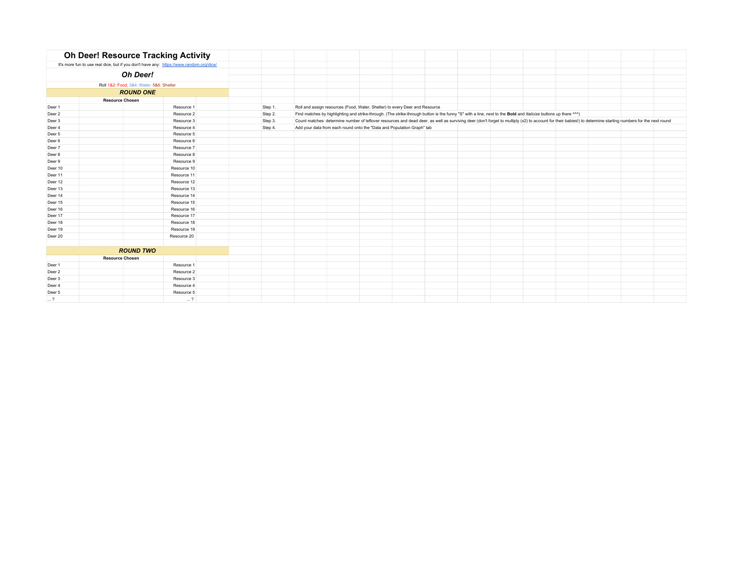|                        | <b>Oh Deer! Resource Tracking Activity</b>                                              |             |         |                                                                                                                                                                |  |  |  |                                                                                                                                                                                                              |  |
|------------------------|-----------------------------------------------------------------------------------------|-------------|---------|----------------------------------------------------------------------------------------------------------------------------------------------------------------|--|--|--|--------------------------------------------------------------------------------------------------------------------------------------------------------------------------------------------------------------|--|
|                        | It's more fun to use real dice, but if you don't have any: https://www.random.org/dice/ |             |         |                                                                                                                                                                |  |  |  |                                                                                                                                                                                                              |  |
|                        | Oh Deer!                                                                                |             |         |                                                                                                                                                                |  |  |  |                                                                                                                                                                                                              |  |
|                        |                                                                                         |             |         |                                                                                                                                                                |  |  |  |                                                                                                                                                                                                              |  |
|                        | Roll 1&2: Food; 3&4: Water; 5&6: Shelter                                                |             |         |                                                                                                                                                                |  |  |  |                                                                                                                                                                                                              |  |
|                        | <b>ROUND ONE</b>                                                                        |             |         |                                                                                                                                                                |  |  |  |                                                                                                                                                                                                              |  |
|                        | <b>Resource Chosen</b>                                                                  |             |         |                                                                                                                                                                |  |  |  |                                                                                                                                                                                                              |  |
| Deer 1                 |                                                                                         | Resource 1  | Step 1. | Roll and assign resources (Food, Water, Shelter) to every Deer and Resource                                                                                    |  |  |  |                                                                                                                                                                                                              |  |
| Deer 2                 |                                                                                         | Resource 2  | Step 2. | Find matches by highlighting and strike-through. (The strike-through button is the funny "S" with a line, next to the Bold and Italicize buttons up there ^^^) |  |  |  |                                                                                                                                                                                                              |  |
| Deer 3                 |                                                                                         | Resource 3  | Step 3. |                                                                                                                                                                |  |  |  | Count matches: determine number of leftover resources and dead deer, as well as surviving deer (don't forget to multiply (x2) to account for their babies!) to determine starting numbers for the next round |  |
| Deer 4                 |                                                                                         | Resource 4  | Step 4. | Add your data from each round onto the "Data and Population Graph" tab                                                                                         |  |  |  |                                                                                                                                                                                                              |  |
| Deer 5                 |                                                                                         | Resource 5  |         |                                                                                                                                                                |  |  |  |                                                                                                                                                                                                              |  |
| Deer 6                 |                                                                                         | Resource 6  |         |                                                                                                                                                                |  |  |  |                                                                                                                                                                                                              |  |
| Deer 7                 |                                                                                         | Resource 7  |         |                                                                                                                                                                |  |  |  |                                                                                                                                                                                                              |  |
| Deer 8                 |                                                                                         | Resource 8  |         |                                                                                                                                                                |  |  |  |                                                                                                                                                                                                              |  |
| Deer 9                 |                                                                                         | Resource 9  |         |                                                                                                                                                                |  |  |  |                                                                                                                                                                                                              |  |
| Deer 10                |                                                                                         | Resource 10 |         |                                                                                                                                                                |  |  |  |                                                                                                                                                                                                              |  |
| Deer 11                |                                                                                         | Resource 11 |         |                                                                                                                                                                |  |  |  |                                                                                                                                                                                                              |  |
| Deer 12                |                                                                                         | Resource 12 |         |                                                                                                                                                                |  |  |  |                                                                                                                                                                                                              |  |
| Deer 13                |                                                                                         | Resource 13 |         |                                                                                                                                                                |  |  |  |                                                                                                                                                                                                              |  |
| Deer 14                |                                                                                         | Resource 14 |         |                                                                                                                                                                |  |  |  |                                                                                                                                                                                                              |  |
| Deer 15                |                                                                                         | Resource 15 |         |                                                                                                                                                                |  |  |  |                                                                                                                                                                                                              |  |
| Deer 16                |                                                                                         | Resource 16 |         |                                                                                                                                                                |  |  |  |                                                                                                                                                                                                              |  |
| Deer 17                |                                                                                         | Resource 17 |         |                                                                                                                                                                |  |  |  |                                                                                                                                                                                                              |  |
| Deer 18                |                                                                                         | Resource 18 |         |                                                                                                                                                                |  |  |  |                                                                                                                                                                                                              |  |
| Deer 19                |                                                                                         | Resource 19 |         |                                                                                                                                                                |  |  |  |                                                                                                                                                                                                              |  |
| Deer 20                |                                                                                         | Resource 20 |         |                                                                                                                                                                |  |  |  |                                                                                                                                                                                                              |  |
|                        |                                                                                         |             |         |                                                                                                                                                                |  |  |  |                                                                                                                                                                                                              |  |
|                        | <b>ROUND TWO</b>                                                                        |             |         |                                                                                                                                                                |  |  |  |                                                                                                                                                                                                              |  |
| <b>Resource Chosen</b> |                                                                                         |             |         |                                                                                                                                                                |  |  |  |                                                                                                                                                                                                              |  |
| Deer 1                 |                                                                                         | Resource 1  |         |                                                                                                                                                                |  |  |  |                                                                                                                                                                                                              |  |
| Deer 2                 |                                                                                         | Resource 2  |         |                                                                                                                                                                |  |  |  |                                                                                                                                                                                                              |  |
| Deer 3                 |                                                                                         | Resource 3  |         |                                                                                                                                                                |  |  |  |                                                                                                                                                                                                              |  |
| Deer 4                 |                                                                                         | Resource 4  |         |                                                                                                                                                                |  |  |  |                                                                                                                                                                                                              |  |
| Deer 5                 |                                                                                         | Resource 5  |         |                                                                                                                                                                |  |  |  |                                                                                                                                                                                                              |  |
| $\ldots$ ?             |                                                                                         | $\ldots$ ?  |         |                                                                                                                                                                |  |  |  |                                                                                                                                                                                                              |  |